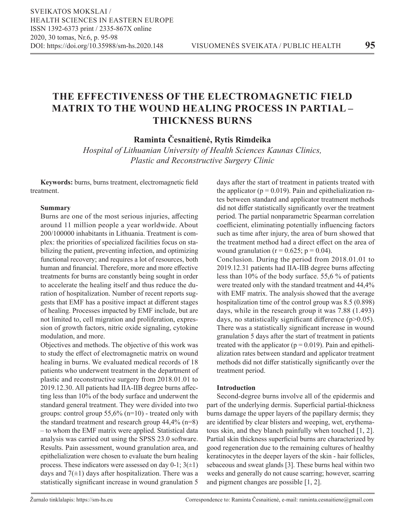# **THE EFFECTIVENESS OF THE ELECTROMAGNETIC FIELD MATRIX TO THE WOUND HEALING PROCESS IN PARTIAL – THICKNESS BURNS**

**Raminta Česnaitienė, Rytis Rimdeika**

*Hospital of Lithuanian University of Health Sciences Kaunas Clinics, Plastic and Reconstructive Surgery Clinic*

**Keywords:** burns, burns treatment, electromagnetic field treatment.

## **Summary**

Burns are one of the most serious injuries, affecting around 11 million people a year worldwide. About 200/100000 inhabitants in Lithuania. Treatment is complex: the priorities of specialized facilities focus on stabilizing the patient, preventing infection, and optimizing functional recovery; and requires a lot of resources, both human and financial. Therefore, more and more effective treatments for burns are constantly being sought in order to accelerate the healing itself and thus reduce the duration of hospitalization. Number of recent reports suggests that EMF has a positive impact at different stages of healing. Processes impacted by EMF include, but are not limited to, cell migration and proliferation, expression of growth factors, nitric oxide signaling, cytokine modulation, and more.

Objectives and methods. The objective of this work was to study the effect of electromagnetic matrix on wound healing in burns. We evaluated medical records of 18 patients who underwent treatment in the department of plastic and reconstructive surgery from 2018.01.01 to 2019.12.30. All patients had IIA-IIB degree burns affecting less than 10% of the body surface and underwent the standard general treatment. They were divided into two groups: control group 55,6% (n=10) - treated only with the standard treatment and research group  $44,4\%$  (n=8) – to whom the EMF matrix were applied. Statistical data analysis was carried out using the SPSS 23.0 software. Results. Pain assessment, wound granulation area, and epithelialization were chosen to evaluate the burn healing process. These indicators were assessed on day  $0-1$ ;  $3(\pm 1)$ days and  $7(\pm 1)$  days after hospitalization. There was a statistically significant increase in wound granulation 5

days after the start of treatment in patients treated with the applicator ( $p = 0.019$ ). Pain and epithelialization rates between standard and applicator treatment methods did not differ statistically significantly over the treatment period. The partial nonparametric Spearman correlation coefficient, eliminating potentially influencing factors such as time after injury, the area of burn showed that the treatment method had a direct effect on the area of wound granulation ( $r = 0.625$ ;  $p = 0.04$ ).

Conclusion. During the period from 2018.01.01 to 2019.12.31 patients had IIA-IIB degree burns affecting less than 10% of the body surface. 55,6 % of patients were treated only with the standard treatment and 44,4% with EMF matrix. The analysis showed that the average hospitalization time of the control group was 8.5 (0.898) days, while in the research group it was 7.88 (1.493) days, no statistically significant difference  $(p>0.05)$ . There was a statistically significant increase in wound granulation 5 days after the start of treatment in patients treated with the applicator ( $p = 0.019$ ). Pain and epithelialization rates between standard and applicator treatment methods did not differ statistically significantly over the treatment period.

## **Introduction**

Second-degree burns involve all of the epidermis and part of the underlying dermis. Superficial partial-thickness burns damage the upper layers of the papillary dermis; they are identified by clear blisters and weeping, wet, erythematous skin, and they blanch painfully when touched [1, 2]. Partial skin thickness superficial burns are characterized by good regeneration due to the remaining cultures of healthy keratinocytes in the deeper layers of the skin - hair follicles, sebaceous and sweat glands [3]. These burns heal within two weeks and generally do not cause scarring; however, scarring and pigment changes are possible [1, 2].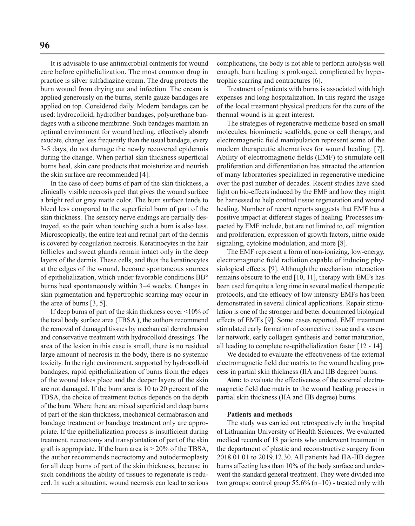It is advisable to use antimicrobial ointments for wound care before epithelialization. The most common drug in practice is silver sulfadiazine cream. The drug protects the burn wound from drying out and infection. The cream is applied generously on the burns, sterile gauze bandages are applied on top. Considered daily. Modern bandages can be used: hydrocolloid, hydrofiber bandages, polyurethane bandages with a silicone membrane. Such bandages maintain an optimal environment for wound healing, effectively absorb exudate, change less frequently than the usual bandage, every 3-5 days, do not damage the newly recovered epidermis during the change. When partial skin thickness superficial burns heal, skin care products that moisturize and nourish the skin surface are recommended [4].

In the case of deep burns of part of the skin thickness, a clinically visible necrosis peel that gives the wound surface a bright red or gray matte color. The burn surface tends to bleed less compared to the superficial burn of part of the skin thickness. The sensory nerve endings are partially destroyed, so the pain when touching such a burn is also less. Microscopically, the entire teat and retinal part of the dermis is covered by coagulation necrosis. Keratinocytes in the hair follicles and sweat glands remain intact only in the deep layers of the dermis. These cells, and thus the keratinocytes at the edges of the wound, become spontaneous sources of epithelialization, which under favorable conditions IIB° burns heal spontaneously within 3–4 weeks. Changes in skin pigmentation and hypertrophic scarring may occur in the area of burns [3, 5].

If deep burns of part of the skin thickness cover <10% of the total body surface area (TBSA ), the authors recommend the removal of damaged tissues by mechanical dermabrasion and conservative treatment with hydrocolloid dressings. The area of the lesion in this case is small, there is no residual large amount of necrosis in the body, there is no systemic toxicity. In the right environment, supported by hydrocolloid bandages, rapid epithelialization of burns from the edges of the wound takes place and the deeper layers of the skin are not damaged. If the burn area is 10 to 20 percent of the TBSA, the choice of treatment tactics depends on the depth of the burn. Where there are mixed superficial and deep burns of part of the skin thickness, mechanical dermabrasion and bandage treatment or bandage treatment only are appropriate. If the epithelialization process is insufficient during treatment, necrectomy and transplantation of part of the skin graft is appropriate. If the burn area is  $> 20\%$  of the TBSA, the author recommends necrectomy and autodermoplasty for all deep burns of part of the skin thickness, because in such conditions the ability of tissues to regenerate is reduced. In such a situation, wound necrosis can lead to serious

complications, the body is not able to perform autolysis well enough, burn healing is prolonged, complicated by hypertrophic scarring and contractures [6].

Treatment of patients with burns is associated with high expenses and long hospitalization. In this regard the usage of the local treatment physical products for the cure of the thermal wound is in great interest.

The strategies of regenerative medicine based on small molecules, biomimetic scaffolds, gene or cell therapy, and electromagnetic field manipulation represent some of the modern therapeutic alternatives for wound healing. [7]. Ability of electromagnetic fields (EMF) to stimulate cell proliferation and differentiation has attracted the attention of many laboratories specialized in regenerative medicine over the past number of decades. Recent studies have shed light on bio‐effects induced by the EMF and how they might be harnessed to help control tissue regeneration and wound healing. Number of recent reports suggests that EMF has a positive impact at different stages of healing. Processes impacted by EMF include, but are not limited to, cell migration and proliferation, expression of growth factors, nitric oxide signaling, cytokine modulation, and more [8].

The EMF represent a form of non-ionizing, low-energy, electromagnetic field radiation capable of inducing physiological effects. [9]. Although the mechanism interaction remains obscure to the end [10, 11], therapy with EMFs has been used for quite a long time in several medical therapeutic protocols, and the efficacy of low intensity EMFs has been demonstrated in several clinical applications. Repair stimulation is one of the stronger and better documented biological effects of EMFs [9]. Some cases reported, EMF treatment stimulated early formation of connective tissue and a vascular network, early collagen synthesis and better maturation, all leading to complete re-epithelialization faster [12 - 14].

We decided to evaluate the effectiveness of the external electromagnetic field due matrix to the wound healing process in partial skin thickness (IIA and IIB degree) burns.

**Aim:** to evaluate the effectiveness of the external electromagnetic field due matrix to the wound healing process in partial skin thickness (IIA and IIB degree) burns.

## **Patients and methods**

The study was carried out retrospectively in the hospital of Lithuanian University of Health Sciences. We evaluated medical records of 18 patients who underwent treatment in the department of plastic and reconstructive surgery from 2018.01.01 to 2019.12.30. All patients had IIA-IIB degree burns affecting less than 10% of the body surface and underwent the standard general treatment. They were divided into two groups: control group  $55,6\%$  (n=10) - treated only with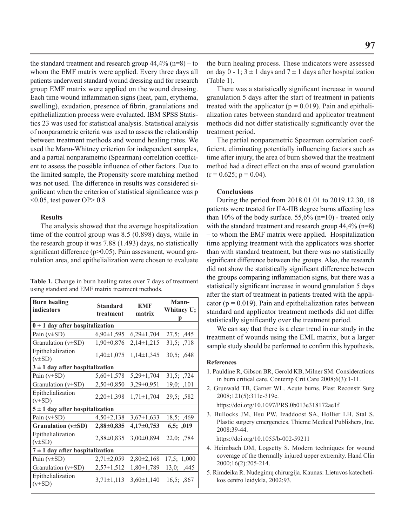the standard treatment and research group  $44,4\%$  (n=8) – to whom the EMF matrix were applied. Every three days all patients underwent standard wound dressing and for research group EMF matrix were applied on the wound dressing. Each time wound inflammation signs (heat, pain, erythema, swelling), exudation, presence of fibrin, granulations and epithelialization process were evaluated. IBM SPSS Statistics 23 was used for statistical analysis. Statistical analysis of nonparametric criteria was used to assess the relationship between treatment methods and wound healing rates. We used the Mann-Whitney criterion for independent samples, and a partial nonparametric (Spearman) correlation coefficient to assess the possible influence of other factors. Due to the limited sample, the Propensity score matching method was not used. The difference in results was considered significant when the criterion of statistical significance was p  $\leq 0.05$ , test power OP $> 0.8$ 

## **Results**

The analysis showed that the average hospitalization time of the control group was 8.5 (0.898) days, while in the research group it was 7.88 (1.493) days, no statistically significant difference ( $p$  $>$ 0.05). Pain assessment, wound granulation area, and epithelialization were chosen to evaluate

| <b>Table 1.</b> Change in burn healing rates over 7 days of treatment |  |
|-----------------------------------------------------------------------|--|
| using standard and EMF matrix treatment methods.                      |  |

| <b>Burn healing</b><br>indicators   | <b>Standard</b><br>treatment | <b>EMF</b><br>matrix | Mann-<br>Whitney U;<br>р |  |
|-------------------------------------|------------------------------|----------------------|--------------------------|--|
| $0 + 1$ day after hospitalization   |                              |                      |                          |  |
| Pain $(v\pm SD)$                    | $6,90 \pm 1,595$             | $6,29\pm1,704$       | 27,5; ,445               |  |
| Granulation (v±SD)                  | $1,90\pm0,876$               | $2,14\pm1,215$       | 31,5; ,718               |  |
| Epithelialization<br>$(v\pm SD)$    | $1,40 \pm 1,075$             | $1,14\pm1,345$       | 30,5; 0.648              |  |
| $3 \pm 1$ day after hospitalization |                              |                      |                          |  |
| Pain $(v\pm SD)$                    | $5,60 \pm 1,578$             | $5,29\pm1,704$       | 31,5; ,724               |  |
| Granulation (v±SD)                  | $2,50\pm0,850$               | 3,29±0,951           | $19,0;$ , 101            |  |
| Epithelialization<br>$(v\pm SD)$    | $2,20\pm1,398$               | $1,71 \pm 1,704$     | 29,5; ,582               |  |
| $5 \pm 1$ day after hospitalization |                              |                      |                          |  |
| Pain $(v\pm SD)$                    | $4,50\pm2,138$               | $3,67 \pm 1,633$     | 18,5; ,469               |  |
| Granulation (v±SD)                  | $2,88 \pm 0,835$             | $4,17\pm0,753$       | 6,5; .019                |  |
| Epithelialization<br>$(v\pm SD)$    | $2,88 \pm 0,835$             | 3,00±0,894           | 22,0; ,784               |  |
| $7 \pm 1$ day after hospitalization |                              |                      |                          |  |
| Pain $(v\pm SD)$                    | $2,71\pm2,059$               | $2,80\pm2,168$       | 17,5; 1,000              |  |
| Granulation ( $v\pm SD$ )           | $2,57\pm1,512$               | $1,80\pm1,789$       | 13,0; ,445               |  |
| Epithelialization<br>$(v\pm SD)$    | $3,71 \pm 1,113$             | $3,60 \pm 1,140$     | 16,5; 0.867              |  |

the burn healing process. These indicators were assessed on day  $0 - 1$ ;  $3 \pm 1$  days and  $7 \pm 1$  days after hospitalization (Table 1).

There was a statistically significant increase in wound granulation 5 days after the start of treatment in patients treated with the applicator ( $p = 0.019$ ). Pain and epithelialization rates between standard and applicator treatment methods did not differ statistically significantly over the treatment period.

The partial nonparametric Spearman correlation coefficient, eliminating potentially influencing factors such as time after injury, the area of burn showed that the treatment method had a direct effect on the area of wound granulation  $(r = 0.625; p = 0.04)$ .

#### **Conclusions**

During the period from 2018.01.01 to 2019.12.30, 18 patients were treated for IIA-IIB degree burns affecting less than 10% of the body surface. 55,6% ( $n=10$ ) - treated only with the standard treatment and research group  $44,4\%$  (n=8) – to whom the EMF matrix were applied. Hospitalization time applying treatment with the applicators was shorter than with standard treatment, but there was no statistically significant difference between the groups. Also, the research did not show the statistically significant difference between the groups comparing inflammation signs, but there was a statistically significant increase in wound granulation 5 days after the start of treatment in patients treated with the applicator ( $p = 0.019$ ). Pain and epithelialization rates between standard and applicator treatment methods did not differ statistically significantly over the treatment period.

We can say that there is a clear trend in our study in the treatment of wounds using the EML matrix, but a larger sample study should be performed to confirm this hypothesis.

#### **References**

- 1. Pauldine R, Gibson BR, Gerold KB, Milner SM. Considerations in burn critical care. Contemp Crit Care 2008;6(3):1-11.
- 2. Grunwald TB, Garner WL. Acute burns. Plast Reconstr Surg 2008;121(5):311e-319e.
	- https://doi.org/10.1097/PRS.0b013e318172ae1f
- 3. Bullocks JM, Hsu PW, Izaddoost SA, Hollier LH, Stal S. Plastic surgery emergencies. Thieme Medical Publishers, Inc. 2008:39-44.

https://doi.org/10.1055/b-002-59211

- 4. Heimbach DM, Logsetty S. Modern techniques for wound coverage of the thermally injured upper extremity. Hand Clin 2000;16(2):205-214.
- 5. Rimdeika R. Nudegimų chirurgija. Kaunas: Lietuvos katechetikos centro leidykla, 2002:93.